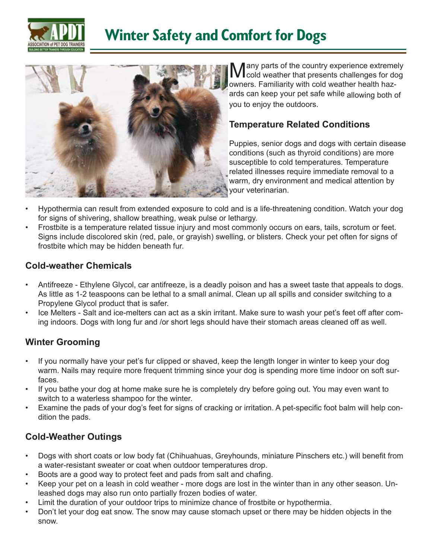



**Many parts of the country experience extremely**<br>cold weather that presents challenges for dog owners. Familiarity with cold weather health hazards can keep your pet safe while allowing both of you to enjoy the outdoors.

### **Temperature Related Conditions**

Puppies, senior dogs and dogs with certain disease conditions (such as thyroid conditions) are more susceptible to cold temperatures. Temperature related illnesses require immediate removal to a warm, dry environment and medical attention by your veterinarian.

- Hypothermia can result from extended exposure to cold and is a life-threatening condition. Watch your dog for signs of shivering, shallow breathing, weak pulse or lethargy.
- Frostbite is a temperature related tissue injury and most commonly occurs on ears, tails, scrotum or feet. Signs include discolored skin (red, pale, or grayish) swelling, or blisters. Check your pet often for signs of frostbite which may be hidden beneath fur.

### **Cold-weather Chemicals**

- Antifreeze Ethylene Glycol, car antifreeze, is a deadly poison and has a sweet taste that appeals to dogs. As little as 1-2 teaspoons can be lethal to a small animal. Clean up all spills and consider switching to a Propylene Glycol product that is safer.
- Ice Melters Salt and ice-melters can act as a skin irritant. Make sure to wash your pet's feet off after coming indoors. Dogs with long fur and /or short legs should have their stomach areas cleaned off as well.

## **Winter Grooming**

- If you normally have your pet's fur clipped or shaved, keep the length longer in winter to keep your dog warm. Nails may require more frequent trimming since your dog is spending more time indoor on soft surfaces.
- If you bathe your dog at home make sure he is completely dry before going out. You may even want to switch to a waterless shampoo for the winter.
- Examine the pads of your dog's feet for signs of cracking or irritation. A pet-specific foot balm will help condition the pads.

## **Cold-Weather Outings**

- Dogs with short coats or low body fat (Chihuahuas, Greyhounds, miniature Pinschers etc.) will benefit from a water-resistant sweater or coat when outdoor temperatures drop.
- Boots are a good way to protect feet and pads from salt and chafing.
- Keep your pet on a leash in cold weather more dogs are lost in the winter than in any other season. Unleashed dogs may also run onto partially frozen bodies of water.
- Limit the duration of your outdoor trips to minimize chance of frostbite or hypothermia.
- Don't let your dog eat snow. The snow may cause stomach upset or there may be hidden objects in the snow.